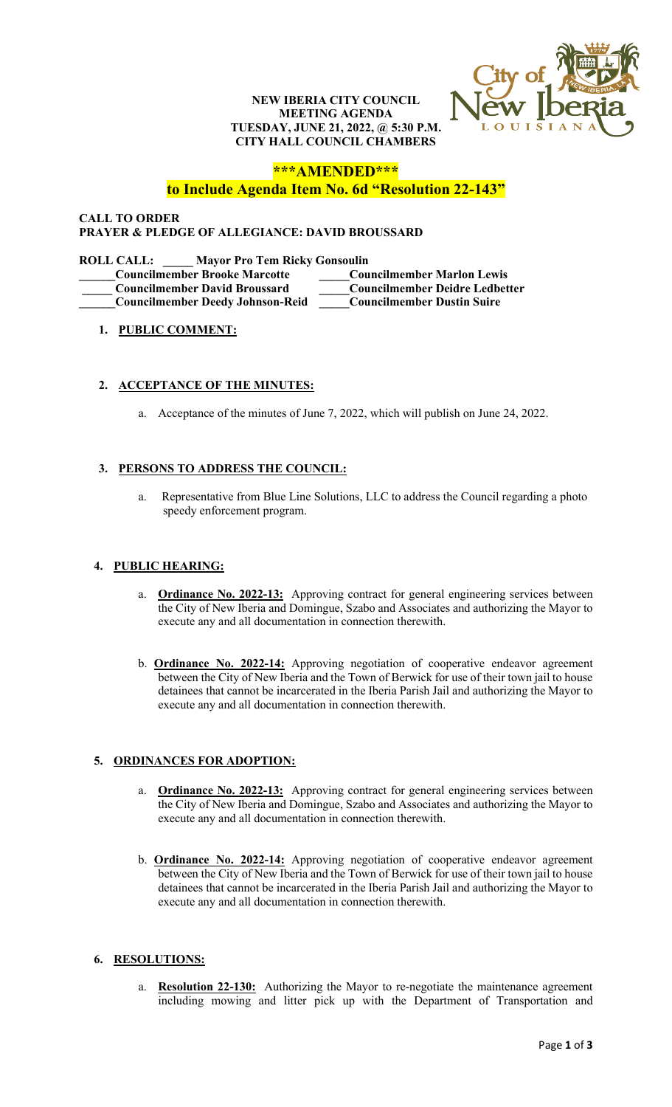#### **NEW IBERIA CITY COUNCIL MEETING AGENDA TUESDAY, JUNE 21, 2022, @ 5:30 P.M. CITY HALL COUNCIL CHAMBERS**



# **\*\*\*AMENDED\*\*\***

# **to Include Agenda Item No. 6d "Resolution 22-143"**

## **CALL TO ORDER PRAYER & PLEDGE OF ALLEGIANCE: DAVID BROUSSARD**

| <b>Mayor Pro Tem Ricky Gonsoulin</b><br><b>ROLL CALL:</b> |                                       |
|-----------------------------------------------------------|---------------------------------------|
| <b>Councilmember Brooke Marcotte</b>                      | <b>Councilmember Marlon Lewis</b>     |
| <b>Councilmember David Broussard</b>                      | <b>Councilmember Deidre Ledbetter</b> |
| <b>Councilmember Deedy Johnson-Reid</b>                   | <b>Councilmember Dustin Suire</b>     |
|                                                           |                                       |

## **1. PUBLIC COMMENT:**

#### **2. ACCEPTANCE OF THE MINUTES:**

a. Acceptance of the minutes of June 7, 2022, which will publish on June 24, 2022.

## **3. PERSONS TO ADDRESS THE COUNCIL:**

a. Representative from Blue Line Solutions, LLC to address the Council regarding a photo speedy enforcement program.

## **4. PUBLIC HEARING:**

- a. **Ordinance No. 2022-13:** Approving contract for general engineering services between the City of New Iberia and Domingue, Szabo and Associates and authorizing the Mayor to execute any and all documentation in connection therewith.
- b. **Ordinance No. 2022-14:** Approving negotiation of cooperative endeavor agreement between the City of New Iberia and the Town of Berwick for use of their town jail to house detainees that cannot be incarcerated in the Iberia Parish Jail and authorizing the Mayor to execute any and all documentation in connection therewith.

#### **5. ORDINANCES FOR ADOPTION:**

- a. **Ordinance No. 2022-13:** Approving contract for general engineering services between the City of New Iberia and Domingue, Szabo and Associates and authorizing the Mayor to execute any and all documentation in connection therewith.
- b. **Ordinance No. 2022-14:** Approving negotiation of cooperative endeavor agreement between the City of New Iberia and the Town of Berwick for use of their town jail to house detainees that cannot be incarcerated in the Iberia Parish Jail and authorizing the Mayor to execute any and all documentation in connection therewith.

## **6. RESOLUTIONS:**

a. **Resolution 22-130:** Authorizing the Mayor to re-negotiate the maintenance agreement including mowing and litter pick up with the Department of Transportation and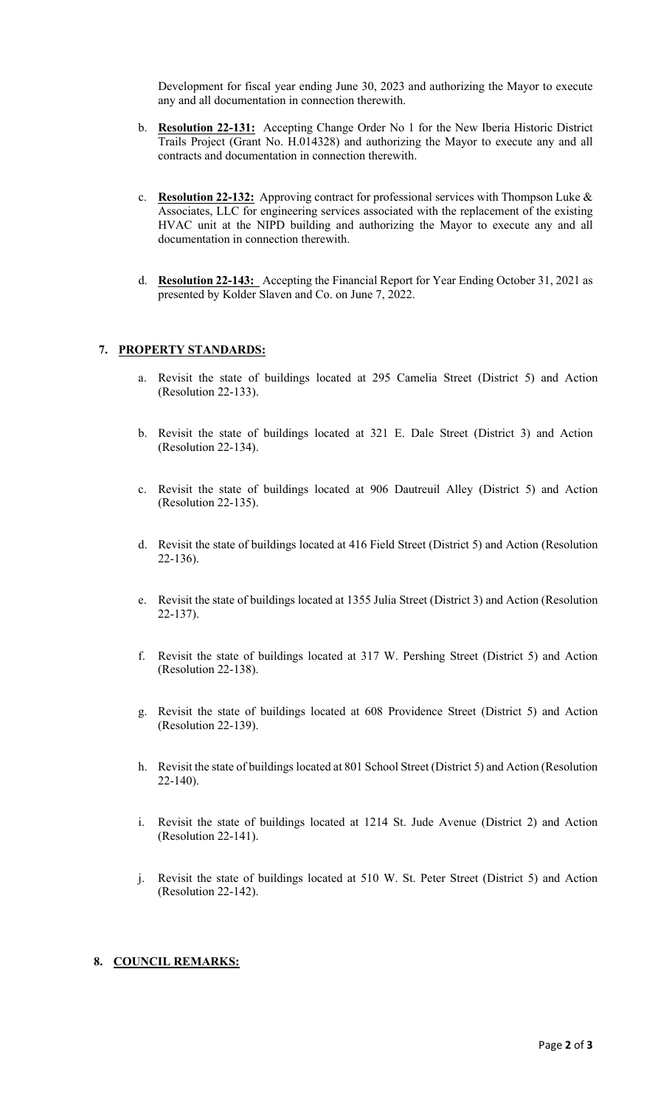Development for fiscal year ending June 30, 2023 and authorizing the Mayor to execute any and all documentation in connection therewith.

- b. **Resolution 22-131:** Accepting Change Order No 1 for the New Iberia Historic District Trails Project (Grant No. H.014328) and authorizing the Mayor to execute any and all contracts and documentation in connection therewith.
- c. **Resolution 22-132:** Approving contract for professional services with Thompson Luke & Associates, LLC for engineering services associated with the replacement of the existing HVAC unit at the NIPD building and authorizing the Mayor to execute any and all documentation in connection therewith.
- d. **Resolution 22-143:** Accepting the Financial Report for Year Ending October 31, 2021 as presented by Kolder Slaven and Co. on June 7, 2022.

## **7. PROPERTY STANDARDS:**

- a. Revisit the state of buildings located at 295 Camelia Street (District 5) and Action (Resolution 22-133).
- b. Revisit the state of buildings located at 321 E. Dale Street (District 3) and Action (Resolution 22-134).
- c. Revisit the state of buildings located at 906 Dautreuil Alley (District 5) and Action (Resolution 22-135).
- d. Revisit the state of buildings located at 416 Field Street (District 5) and Action (Resolution 22-136).
- e. Revisit the state of buildings located at 1355 Julia Street (District 3) and Action (Resolution 22-137).
- f. Revisit the state of buildings located at 317 W. Pershing Street (District 5) and Action (Resolution 22-138).
- g. Revisit the state of buildings located at 608 Providence Street (District 5) and Action (Resolution 22-139).
- h. Revisit the state of buildings located at 801 School Street (District 5) and Action (Resolution 22-140).
- i. Revisit the state of buildings located at 1214 St. Jude Avenue (District 2) and Action (Resolution 22-141).
- j. Revisit the state of buildings located at 510 W. St. Peter Street (District 5) and Action (Resolution 22-142).

## **8. COUNCIL REMARKS:**